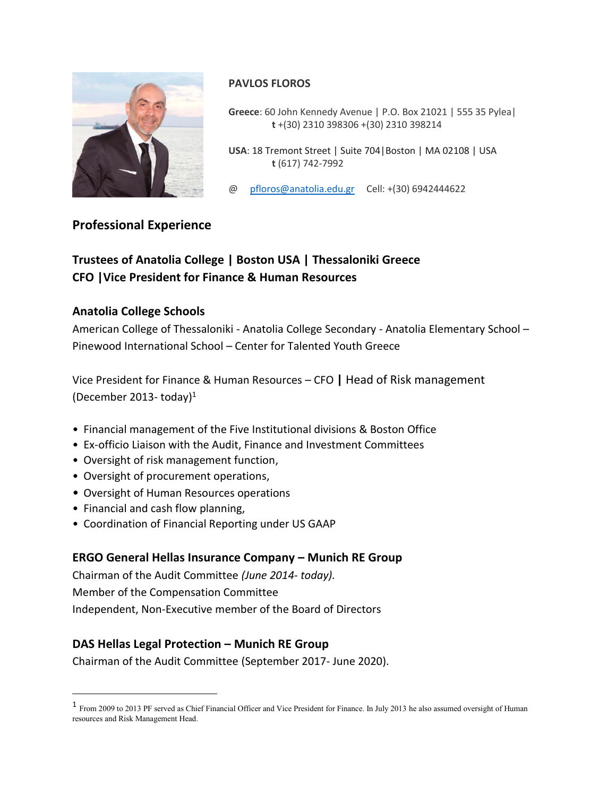

# **PAVLOS FLOROS**

**Greece**: 60 John Kennedy Avenue | P.O. Box 21021 | 555 35 Pylea|  **t** +(30) 2310 398306 +(30) 2310 398214

**USA**: 18 Tremont Street | Suite 704|Boston | MA 02108 | USA  **t** (617) 742-7992

@ [pfloros@anatolia.edu.gr](mailto:pfloros@anatolia.edu.gr) Cell: +(30) 6942444622

# **Professional Experience**

# **Trustees of Anatolia College | Boston USA | Thessaloniki Greece CFO |Vice President for Finance & Human Resources**

### **Anatolia College Schools**

American College of Thessaloniki - Anatolia College Secondary - Anatolia Elementary School – Pinewood International School – Center for Talented Youth Greece

Vice President for Finance & Human Resources – CFO **|** Head of Risk management (December 2013- today)<sup>1</sup>

- Financial management of the Five Institutional divisions & Boston Office
- Ex-officio Liaison with the Audit, Finance and Investment Committees
- Oversight of risk management function,
- Oversight of procurement operations,
- Oversight of Human Resources operations
- Financial and cash flow planning,

 $\overline{a}$ 

• Coordination of Financial Reporting under US GAAP

### **ERGO General Hellas Insurance Company – Munich RE Group**

Chairman of the Audit Committee *(June 2014- today).* Member of the Compensation Committee Independent, Non-Executive member of the Board of Directors

### **DAS Hellas Legal Protection – Munich RE Group**

Chairman of the Audit Committee (September 2017- June 2020).

<sup>&</sup>lt;sup>1</sup> From 2009 to 2013 PF served as Chief Financial Officer and Vice President for Finance. In July 2013 he also assumed oversight of Human resources and Risk Management Head.